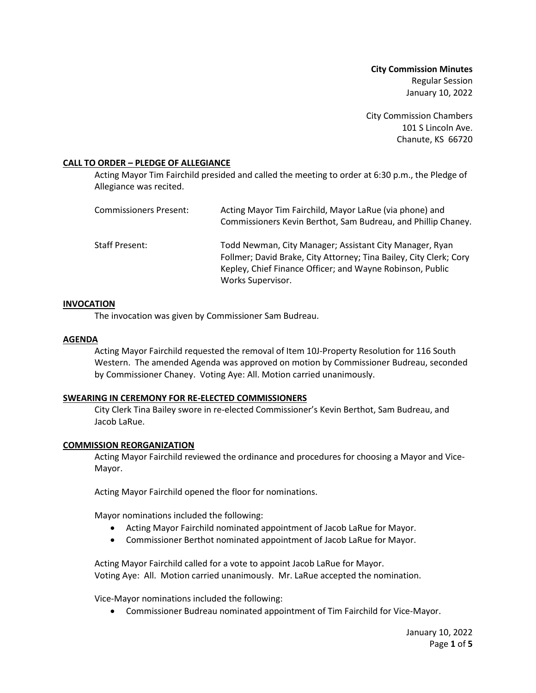**City Commission Minutes** Regular Session January 10, 2022

City Commission Chambers 101 S Lincoln Ave. Chanute, KS 66720

## **CALL TO ORDER – PLEDGE OF ALLEGIANCE**

Acting Mayor Tim Fairchild presided and called the meeting to order at 6:30 p.m., the Pledge of Allegiance was recited.

| <b>Commissioners Present:</b> | Acting Mayor Tim Fairchild, Mayor LaRue (via phone) and<br>Commissioners Kevin Berthot, Sam Budreau, and Phillip Chaney.                                                                                        |
|-------------------------------|-----------------------------------------------------------------------------------------------------------------------------------------------------------------------------------------------------------------|
| Staff Present:                | Todd Newman, City Manager; Assistant City Manager, Ryan<br>Follmer; David Brake, City Attorney; Tina Bailey, City Clerk; Cory<br>Kepley, Chief Finance Officer; and Wayne Robinson, Public<br>Works Supervisor. |

### **INVOCATION**

The invocation was given by Commissioner Sam Budreau.

### **AGENDA**

Acting Mayor Fairchild requested the removal of Item 10J-Property Resolution for 116 South Western. The amended Agenda was approved on motion by Commissioner Budreau, seconded by Commissioner Chaney. Voting Aye: All. Motion carried unanimously.

### **SWEARING IN CEREMONY FOR RE-ELECTED COMMISSIONERS**

City Clerk Tina Bailey swore in re-elected Commissioner's Kevin Berthot, Sam Budreau, and Jacob LaRue.

### **COMMISSION REORGANIZATION**

Acting Mayor Fairchild reviewed the ordinance and procedures for choosing a Mayor and Vice-Mayor.

Acting Mayor Fairchild opened the floor for nominations.

Mayor nominations included the following:

- Acting Mayor Fairchild nominated appointment of Jacob LaRue for Mayor.
- Commissioner Berthot nominated appointment of Jacob LaRue for Mayor.

Acting Mayor Fairchild called for a vote to appoint Jacob LaRue for Mayor. Voting Aye: All. Motion carried unanimously. Mr. LaRue accepted the nomination.

Vice-Mayor nominations included the following:

• Commissioner Budreau nominated appointment of Tim Fairchild for Vice-Mayor.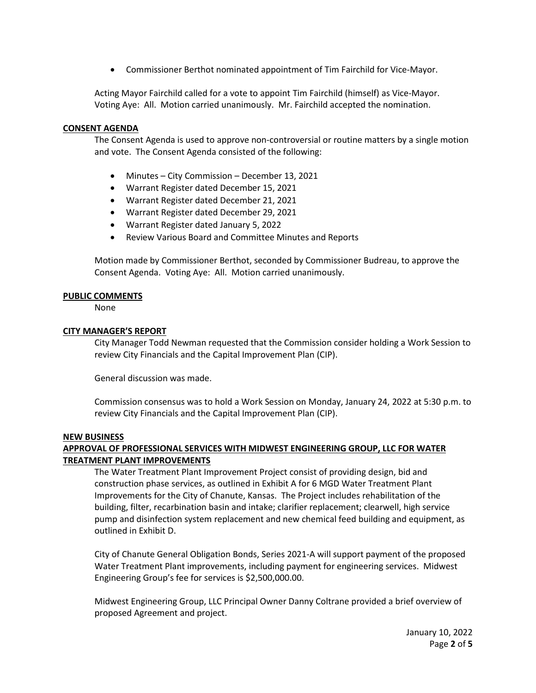• Commissioner Berthot nominated appointment of Tim Fairchild for Vice-Mayor.

Acting Mayor Fairchild called for a vote to appoint Tim Fairchild (himself) as Vice-Mayor. Voting Aye: All. Motion carried unanimously. Mr. Fairchild accepted the nomination.

## **CONSENT AGENDA**

The Consent Agenda is used to approve non-controversial or routine matters by a single motion and vote. The Consent Agenda consisted of the following:

- Minutes City Commission December 13, 2021
- Warrant Register dated December 15, 2021
- Warrant Register dated December 21, 2021
- Warrant Register dated December 29, 2021
- Warrant Register dated January 5, 2022
- Review Various Board and Committee Minutes and Reports

Motion made by Commissioner Berthot, seconded by Commissioner Budreau, to approve the Consent Agenda. Voting Aye: All. Motion carried unanimously.

## **PUBLIC COMMENTS**

None

## **CITY MANAGER'S REPORT**

City Manager Todd Newman requested that the Commission consider holding a Work Session to review City Financials and the Capital Improvement Plan (CIP).

General discussion was made.

Commission consensus was to hold a Work Session on Monday, January 24, 2022 at 5:30 p.m. to review City Financials and the Capital Improvement Plan (CIP).

### **NEW BUSINESS**

# **APPROVAL OF PROFESSIONAL SERVICES WITH MIDWEST ENGINEERING GROUP, LLC FOR WATER TREATMENT PLANT IMPROVEMENTS**

The Water Treatment Plant Improvement Project consist of providing design, bid and construction phase services, as outlined in Exhibit A for 6 MGD Water Treatment Plant Improvements for the City of Chanute, Kansas. The Project includes rehabilitation of the building, filter, recarbination basin and intake; clarifier replacement; clearwell, high service pump and disinfection system replacement and new chemical feed building and equipment, as outlined in Exhibit D.

City of Chanute General Obligation Bonds, Series 2021-A will support payment of the proposed Water Treatment Plant improvements, including payment for engineering services. Midwest Engineering Group's fee for services is \$2,500,000.00.

Midwest Engineering Group, LLC Principal Owner Danny Coltrane provided a brief overview of proposed Agreement and project.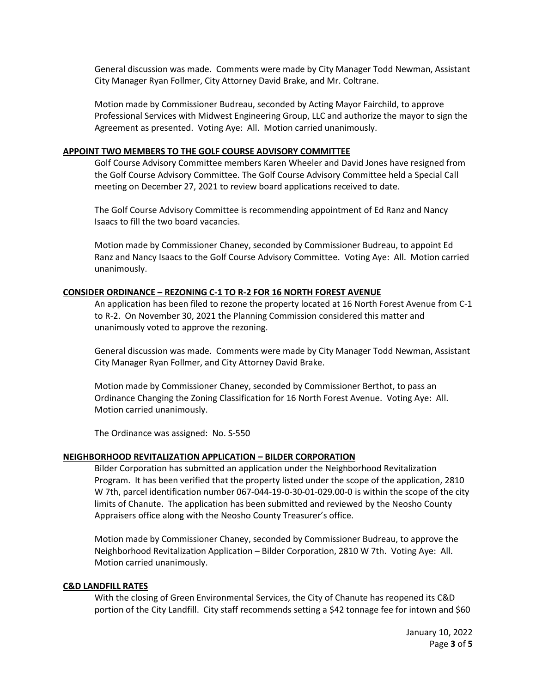General discussion was made. Comments were made by City Manager Todd Newman, Assistant City Manager Ryan Follmer, City Attorney David Brake, and Mr. Coltrane.

Motion made by Commissioner Budreau, seconded by Acting Mayor Fairchild, to approve Professional Services with Midwest Engineering Group, LLC and authorize the mayor to sign the Agreement as presented. Voting Aye: All. Motion carried unanimously.

#### **APPOINT TWO MEMBERS TO THE GOLF COURSE ADVISORY COMMITTEE**

Golf Course Advisory Committee members Karen Wheeler and David Jones have resigned from the Golf Course Advisory Committee. The Golf Course Advisory Committee held a Special Call meeting on December 27, 2021 to review board applications received to date.

The Golf Course Advisory Committee is recommending appointment of Ed Ranz and Nancy Isaacs to fill the two board vacancies.

Motion made by Commissioner Chaney, seconded by Commissioner Budreau, to appoint Ed Ranz and Nancy Isaacs to the Golf Course Advisory Committee. Voting Aye: All. Motion carried unanimously.

#### **CONSIDER ORDINANCE – REZONING C-1 TO R-2 FOR 16 NORTH FOREST AVENUE**

An application has been filed to rezone the property located at 16 North Forest Avenue from C-1 to R-2. On November 30, 2021 the Planning Commission considered this matter and unanimously voted to approve the rezoning.

General discussion was made. Comments were made by City Manager Todd Newman, Assistant City Manager Ryan Follmer, and City Attorney David Brake.

Motion made by Commissioner Chaney, seconded by Commissioner Berthot, to pass an Ordinance Changing the Zoning Classification for 16 North Forest Avenue. Voting Aye: All. Motion carried unanimously.

The Ordinance was assigned: No. S-550

### **NEIGHBORHOOD REVITALIZATION APPLICATION – BILDER CORPORATION**

Bilder Corporation has submitted an application under the Neighborhood Revitalization Program. It has been verified that the property listed under the scope of the application, 2810 W 7th, parcel identification number 067-044-19-0-30-01-029.00-0 is within the scope of the city limits of Chanute. The application has been submitted and reviewed by the Neosho County Appraisers office along with the Neosho County Treasurer's office.

Motion made by Commissioner Chaney, seconded by Commissioner Budreau, to approve the Neighborhood Revitalization Application – Bilder Corporation, 2810 W 7th. Voting Aye: All. Motion carried unanimously.

## **C&D LANDFILL RATES**

With the closing of Green Environmental Services, the City of Chanute has reopened its C&D portion of the City Landfill. City staff recommends setting a \$42 tonnage fee for intown and \$60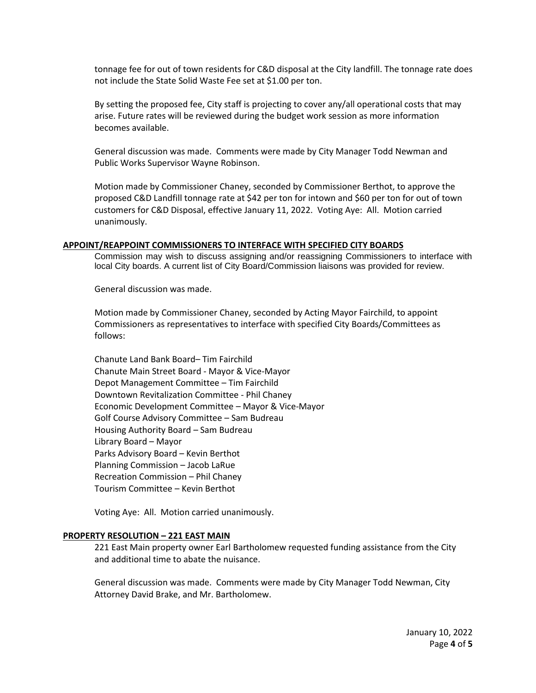tonnage fee for out of town residents for C&D disposal at the City landfill. The tonnage rate does not include the State Solid Waste Fee set at \$1.00 per ton.

By setting the proposed fee, City staff is projecting to cover any/all operational costs that may arise. Future rates will be reviewed during the budget work session as more information becomes available.

General discussion was made. Comments were made by City Manager Todd Newman and Public Works Supervisor Wayne Robinson.

Motion made by Commissioner Chaney, seconded by Commissioner Berthot, to approve the proposed C&D Landfill tonnage rate at \$42 per ton for intown and \$60 per ton for out of town customers for C&D Disposal, effective January 11, 2022. Voting Aye: All. Motion carried unanimously.

#### **APPOINT/REAPPOINT COMMISSIONERS TO INTERFACE WITH SPECIFIED CITY BOARDS**

Commission may wish to discuss assigning and/or reassigning Commissioners to interface with local City boards. A current list of City Board/Commission liaisons was provided for review.

General discussion was made.

Motion made by Commissioner Chaney, seconded by Acting Mayor Fairchild, to appoint Commissioners as representatives to interface with specified City Boards/Committees as follows:

Chanute Land Bank Board– Tim Fairchild Chanute Main Street Board - Mayor & Vice-Mayor Depot Management Committee – Tim Fairchild Downtown Revitalization Committee - Phil Chaney Economic Development Committee – Mayor & Vice-Mayor Golf Course Advisory Committee – Sam Budreau Housing Authority Board – Sam Budreau Library Board – Mayor Parks Advisory Board – Kevin Berthot Planning Commission – Jacob LaRue Recreation Commission – Phil Chaney Tourism Committee – Kevin Berthot

Voting Aye: All. Motion carried unanimously.

#### **PROPERTY RESOLUTION – 221 EAST MAIN**

221 East Main property owner Earl Bartholomew requested funding assistance from the City and additional time to abate the nuisance.

General discussion was made. Comments were made by City Manager Todd Newman, City Attorney David Brake, and Mr. Bartholomew.